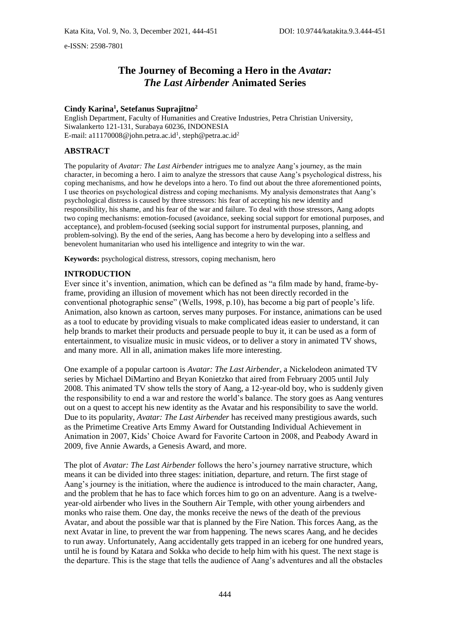e-ISSN: 2598-7801

# **The Journey of Becoming a Hero in the** *Avatar: The Last Airbender* **Animated Series**

# **Cindy Karina<sup>1</sup> , Setefanus Suprajitno<sup>2</sup>**

English Department, Faculty of Humanities and Creative Industries, Petra Christian University, Siwalankerto 121-131, Surabaya 60236, INDONESIA E-mail: a11170008@john.petra.ac.id<sup>1</sup>, steph@petra.ac.id<sup>2</sup>

# **ABSTRACT**

The popularity of *Avatar: The Last Airbender* intrigues me to analyze Aang's journey, as the main character, in becoming a hero. I aim to analyze the stressors that cause Aang's psychological distress, his coping mechanisms, and how he develops into a hero. To find out about the three aforementioned points, I use theories on psychological distress and coping mechanisms. My analysis demonstrates that Aang's psychological distress is caused by three stressors: his fear of accepting his new identity and responsibility, his shame, and his fear of the war and failure. To deal with those stressors, Aang adopts two coping mechanisms: emotion-focused (avoidance, seeking social support for emotional purposes, and acceptance), and problem-focused (seeking social support for instrumental purposes, planning, and problem-solving). By the end of the series, Aang has become a hero by developing into a selfless and benevolent humanitarian who used his intelligence and integrity to win the war.

**Keywords:** psychological distress, stressors, coping mechanism, hero

# **INTRODUCTION**

Ever since it's invention, animation, which can be defined as "a film made by hand, frame-byframe, providing an illusion of movement which has not been directly recorded in the conventional photographic sense" (Wells, 1998, p.10), has become a big part of people's life. Animation, also known as cartoon, serves many purposes. For instance, animations can be used as a tool to educate by providing visuals to make complicated ideas easier to understand, it can help brands to market their products and persuade people to buy it, it can be used as a form of entertainment, to visualize music in music videos, or to deliver a story in animated TV shows, and many more. All in all, animation makes life more interesting.

One example of a popular cartoon is *Avatar: The Last Airbender*, a Nickelodeon animated TV series by Michael DiMartino and Bryan Konietzko that aired from February 2005 until July 2008. This animated TV show tells the story of Aang, a 12-year-old boy, who is suddenly given the responsibility to end a war and restore the world's balance. The story goes as Aang ventures out on a quest to accept his new identity as the Avatar and his responsibility to save the world. Due to its popularity, *Avatar: The Last Airbender* has received many prestigious awards, such as the Primetime Creative Arts Emmy Award for Outstanding Individual Achievement in Animation in 2007, Kids' Choice Award for Favorite Cartoon in 2008, and Peabody Award in 2009, five Annie Awards, a Genesis Award, and more.

The plot of *Avatar: The Last Airbender* follows the hero's journey narrative structure, which means it can be divided into three stages: initiation, departure, and return. The first stage of Aang's journey is the initiation, where the audience is introduced to the main character, Aang, and the problem that he has to face which forces him to go on an adventure. Aang is a twelveyear-old airbender who lives in the Southern Air Temple, with other young airbenders and monks who raise them. One day, the monks receive the news of the death of the previous Avatar, and about the possible war that is planned by the Fire Nation. This forces Aang, as the next Avatar in line, to prevent the war from happening. The news scares Aang, and he decides to run away. Unfortunately, Aang accidentally gets trapped in an iceberg for one hundred years, until he is found by Katara and Sokka who decide to help him with his quest. The next stage is the departure. This is the stage that tells the audience of Aang's adventures and all the obstacles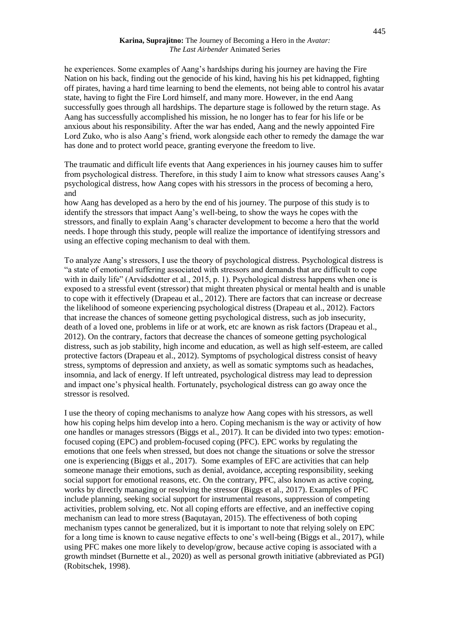#### **Karina, Suprajitno:** The Journey of Becoming a Hero in the *Avatar: The Last Airbender* Animated Series

he experiences. Some examples of Aang's hardships during his journey are having the Fire Nation on his back, finding out the genocide of his kind, having his his pet kidnapped, fighting off pirates, having a hard time learning to bend the elements, not being able to control his avatar state, having to fight the Fire Lord himself, and many more. However, in the end Aang successfully goes through all hardships. The departure stage is followed by the return stage. As Aang has successfully accomplished his mission, he no longer has to fear for his life or be anxious about his responsibility. After the war has ended, Aang and the newly appointed Fire Lord Zuko, who is also Aang's friend, work alongside each other to remedy the damage the war has done and to protect world peace, granting everyone the freedom to live.

The traumatic and difficult life events that Aang experiences in his journey causes him to suffer from psychological distress. Therefore, in this study I aim to know what stressors causes Aang's psychological distress, how Aang copes with his stressors in the process of becoming a hero, and

how Aang has developed as a hero by the end of his journey. The purpose of this study is to identify the stressors that impact Aang's well-being, to show the ways he copes with the stressors, and finally to explain Aang's character development to become a hero that the world needs. I hope through this study, people will realize the importance of identifying stressors and using an effective coping mechanism to deal with them.

To analyze Aang's stressors, I use the theory of psychological distress. Psychological distress is "a state of emotional suffering associated with stressors and demands that are difficult to cope with in daily life" (Arvidsdotter et al., 2015, p. 1). Psychological distress happens when one is exposed to a stressful event (stressor) that might threaten physical or mental health and is unable to cope with it effectively (Drapeau et al., 2012). There are factors that can increase or decrease the likelihood of someone experiencing psychological distress (Drapeau et al., 2012). Factors that increase the chances of someone getting psychological distress, such as job insecurity, death of a loved one, problems in life or at work, etc are known as risk factors (Drapeau et al., 2012). On the contrary, factors that decrease the chances of someone getting psychological distress, such as job stability, high income and education, as well as high self-esteem, are called protective factors (Drapeau et al., 2012). Symptoms of psychological distress consist of heavy stress, symptoms of depression and anxiety, as well as somatic symptoms such as headaches, insomnia, and lack of energy. If left untreated, psychological distress may lead to depression and impact one's physical health. Fortunately, psychological distress can go away once the stressor is resolved.

I use the theory of coping mechanisms to analyze how Aang copes with his stressors, as well how his coping helps him develop into a hero. Coping mechanism is the way or activity of how one handles or manages stressors (Biggs et al., 2017). It can be divided into two types: emotionfocused coping (EPC) and problem-focused coping (PFC). EPC works by regulating the emotions that one feels when stressed, but does not change the situations or solve the stressor one is experiencing (Biggs et al., 2017). Some examples of EFC are activities that can help someone manage their emotions, such as denial, avoidance, accepting responsibility, seeking social support for emotional reasons, etc. On the contrary, PFC, also known as active coping, works by directly managing or resolving the stressor (Biggs et al., 2017). Examples of PFC include planning, seeking social support for instrumental reasons, suppression of competing activities, problem solving, etc. Not all coping efforts are effective, and an ineffective coping mechanism can lead to more stress (Baqutayan, 2015). The effectiveness of both coping mechanism types cannot be generalized, but it is important to note that relying solely on EPC for a long time is known to cause negative effects to one's well-being (Biggs et al., 2017), while using PFC makes one more likely to develop/grow, because active coping is associated with a growth mindset (Burnette et al., 2020) as well as personal growth initiative (abbreviated as PGI) (Robitschek, 1998).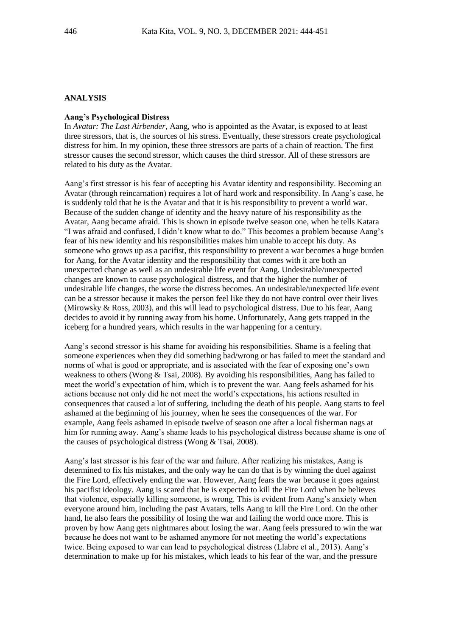# **ANALYSIS**

#### **Aang's Psychological Distress**

In *Avatar: The Last Airbender*, Aang, who is appointed as the Avatar, is exposed to at least three stressors, that is, the sources of his stress. Eventually, these stressors create psychological distress for him. In my opinion, these three stressors are parts of a chain of reaction. The first stressor causes the second stressor, which causes the third stressor. All of these stressors are related to his duty as the Avatar.

Aang's first stressor is his fear of accepting his Avatar identity and responsibility. Becoming an Avatar (through reincarnation) requires a lot of hard work and responsibility. In Aang's case, he is suddenly told that he is the Avatar and that it is his responsibility to prevent a world war. Because of the sudden change of identity and the heavy nature of his responsibility as the Avatar, Aang became afraid. This is shown in episode twelve season one, when he tells Katara "I was afraid and confused, I didn't know what to do." This becomes a problem because Aang's fear of his new identity and his responsibilities makes him unable to accept his duty. As someone who grows up as a pacifist, this responsibility to prevent a war becomes a huge burden for Aang, for the Avatar identity and the responsibility that comes with it are both an unexpected change as well as an undesirable life event for Aang. Undesirable/unexpected changes are known to cause psychological distress, and that the higher the number of undesirable life changes, the worse the distress becomes. An undesirable/unexpected life event can be a stressor because it makes the person feel like they do not have control over their lives (Mirowsky & Ross, 2003), and this will lead to psychological distress. Due to his fear, Aang decides to avoid it by running away from his home. Unfortunately, Aang gets trapped in the iceberg for a hundred years, which results in the war happening for a century.

Aang's second stressor is his shame for avoiding his responsibilities. Shame is a feeling that someone experiences when they did something bad/wrong or has failed to meet the standard and norms of what is good or appropriate, and is associated with the fear of exposing one's own weakness to others (Wong & Tsai, 2008). By avoiding his responsibilities, Aang has failed to meet the world's expectation of him, which is to prevent the war. Aang feels ashamed for his actions because not only did he not meet the world's expectations, his actions resulted in consequences that caused a lot of suffering, including the death of his people. Aang starts to feel ashamed at the beginning of his journey, when he sees the consequences of the war. For example, Aang feels ashamed in episode twelve of season one after a local fisherman nags at him for running away. Aang's shame leads to his psychological distress because shame is one of the causes of psychological distress (Wong & Tsai, 2008).

Aang's last stressor is his fear of the war and failure. After realizing his mistakes, Aang is determined to fix his mistakes, and the only way he can do that is by winning the duel against the Fire Lord, effectively ending the war. However, Aang fears the war because it goes against his pacifist ideology. Aang is scared that he is expected to kill the Fire Lord when he believes that violence, especially killing someone, is wrong. This is evident from Aang's anxiety when everyone around him, including the past Avatars, tells Aang to kill the Fire Lord. On the other hand, he also fears the possibility of losing the war and failing the world once more. This is proven by how Aang gets nightmares about losing the war. Aang feels pressured to win the war because he does not want to be ashamed anymore for not meeting the world's expectations twice. Being exposed to war can lead to psychological distress (Llabre et al., 2013). Aang's determination to make up for his mistakes, which leads to his fear of the war, and the pressure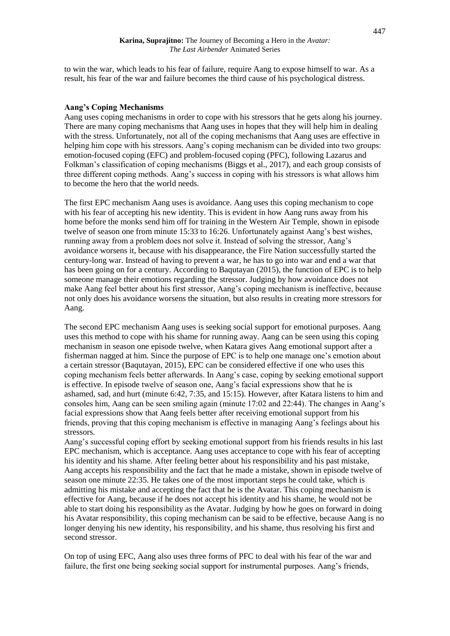to win the war, which leads to his fear of failure, require Aang to expose himself to war. As a result, his fear of the war and failure becomes the third cause of his psychological distress.

# **Aang's Coping Mechanisms**

Aang uses coping mechanisms in order to cope with his stressors that he gets along his journey. There are many coping mechanisms that Aang uses in hopes that they will help him in dealing with the stress. Unfortunately, not all of the coping mechanisms that Aang uses are effective in helping him cope with his stressors. Aang's coping mechanism can be divided into two groups: emotion-focused coping (EFC) and problem-focused coping (PFC), following Lazarus and Folkman's classification of coping mechanisms (Biggs et al., 2017), and each group consists of three different coping methods. Aang's success in coping with his stressors is what allows him to become the hero that the world needs.

The first EPC mechanism Aang uses is avoidance. Aang uses this coping mechanism to cope with his fear of accepting his new identity. This is evident in how Aang runs away from his home before the monks send him off for training in the Western Air Temple, shown in episode twelve of season one from minute 15:33 to 16:26. Unfortunately against Aang's best wishes, running away from a problem does not solve it. Instead of solving the stressor, Aang's avoidance worsens it, because with his disappearance, the Fire Nation successfully started the century-long war. Instead of having to prevent a war, he has to go into war and end a war that has been going on for a century. According to Baqutayan (2015), the function of EPC is to help someone manage their emotions regarding the stressor. Judging by how avoidance does not make Aang feel better about his first stressor, Aang's coping mechanism is ineffective, because not only does his avoidance worsens the situation, but also results in creating more stressors for Aang.

The second EPC mechanism Aang uses is seeking social support for emotional purposes. Aang uses this method to cope with his shame for running away. Aang can be seen using this coping mechanism in season one episode twelve, when Katara gives Aang emotional support after a fisherman nagged at him. Since the purpose of EPC is to help one manage one's emotion about a certain stressor (Baqutayan, 2015), EPC can be considered effective if one who uses this coping mechanism feels better afterwards. In Aang's case, coping by seeking emotional support is effective. In episode twelve of season one, Aang's facial expressions show that he is ashamed, sad, and hurt (minute 6:42, 7:35, and 15:15). However, after Katara listens to him and consoles him, Aang can be seen smiling again (minute 17:02 and 22:44). The changes in Aang's facial expressions show that Aang feels better after receiving emotional support from his friends, proving that this coping mechanism is effective in managing Aang's feelings about his stressors.

Aang's successful coping effort by seeking emotional support from his friends results in his last EPC mechanism, which is acceptance. Aang uses acceptance to cope with his fear of accepting his identity and his shame. After feeling better about his responsibility and his past mistake, Aang accepts his responsibility and the fact that he made a mistake, shown in episode twelve of season one minute 22:35. He takes one of the most important steps he could take, which is admitting his mistake and accepting the fact that he is the Avatar. This coping mechanism is effective for Aang, because if he does not accept his identity and his shame, he would not be able to start doing his responsibility as the Avatar. Judging by how he goes on forward in doing his Avatar responsibility, this coping mechanism can be said to be effective, because Aang is no longer denying his new identity, his responsibility, and his shame, thus resolving his first and second stressor.

On top of using EFC, Aang also uses three forms of PFC to deal with his fear of the war and failure, the first one being seeking social support for instrumental purposes. Aang's friends,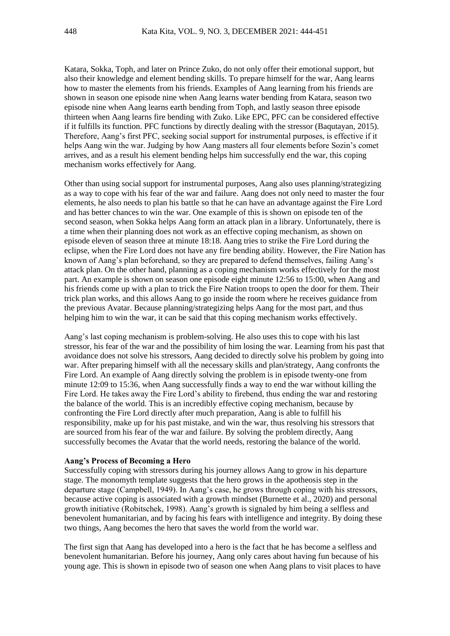Katara, Sokka, Toph, and later on Prince Zuko, do not only offer their emotional support, but also their knowledge and element bending skills. To prepare himself for the war, Aang learns how to master the elements from his friends. Examples of Aang learning from his friends are shown in season one episode nine when Aang learns water bending from Katara, season two episode nine when Aang learns earth bending from Toph, and lastly season three episode thirteen when Aang learns fire bending with Zuko. Like EPC, PFC can be considered effective if it fulfills its function. PFC functions by directly dealing with the stressor (Baqutayan, 2015). Therefore, Aang's first PFC, seeking social support for instrumental purposes, is effective if it helps Aang win the war. Judging by how Aang masters all four elements before Sozin's comet arrives, and as a result his element bending helps him successfully end the war, this coping mechanism works effectively for Aang.

Other than using social support for instrumental purposes, Aang also uses planning/strategizing as a way to cope with his fear of the war and failure. Aang does not only need to master the four elements, he also needs to plan his battle so that he can have an advantage against the Fire Lord and has better chances to win the war. One example of this is shown on episode ten of the second season, when Sokka helps Aang form an attack plan in a library. Unfortunately, there is a time when their planning does not work as an effective coping mechanism, as shown on episode eleven of season three at minute 18:18. Aang tries to strike the Fire Lord during the eclipse, when the Fire Lord does not have any fire bending ability. However, the Fire Nation has known of Aang's plan beforehand, so they are prepared to defend themselves, failing Aang's attack plan. On the other hand, planning as a coping mechanism works effectively for the most part. An example is shown on season one episode eight minute 12:56 to 15:00, when Aang and his friends come up with a plan to trick the Fire Nation troops to open the door for them. Their trick plan works, and this allows Aang to go inside the room where he receives guidance from the previous Avatar. Because planning/strategizing helps Aang for the most part, and thus helping him to win the war, it can be said that this coping mechanism works effectively.

Aang's last coping mechanism is problem-solving. He also uses this to cope with his last stressor, his fear of the war and the possibility of him losing the war. Learning from his past that avoidance does not solve his stressors, Aang decided to directly solve his problem by going into war. After preparing himself with all the necessary skills and plan/strategy, Aang confronts the Fire Lord. An example of Aang directly solving the problem is in episode twenty-one from minute 12:09 to 15:36, when Aang successfully finds a way to end the war without killing the Fire Lord. He takes away the Fire Lord's ability to firebend, thus ending the war and restoring the balance of the world. This is an incredibly effective coping mechanism, because by confronting the Fire Lord directly after much preparation, Aang is able to fulfill his responsibility, make up for his past mistake, and win the war, thus resolving his stressors that are sourced from his fear of the war and failure. By solving the problem directly, Aang successfully becomes the Avatar that the world needs, restoring the balance of the world.

# **Aang's Process of Becoming a Hero**

Successfully coping with stressors during his journey allows Aang to grow in his departure stage. The monomyth template suggests that the hero grows in the apotheosis step in the departure stage (Campbell, 1949). In Aang's case, he grows through coping with his stressors, because active coping is associated with a growth mindset (Burnette et al., 2020) and personal growth initiative (Robitschek, 1998). Aang's growth is signaled by him being a selfless and benevolent humanitarian, and by facing his fears with intelligence and integrity. By doing these two things, Aang becomes the hero that saves the world from the world war.

The first sign that Aang has developed into a hero is the fact that he has become a selfless and benevolent humanitarian. Before his journey, Aang only cares about having fun because of his young age. This is shown in episode two of season one when Aang plans to visit places to have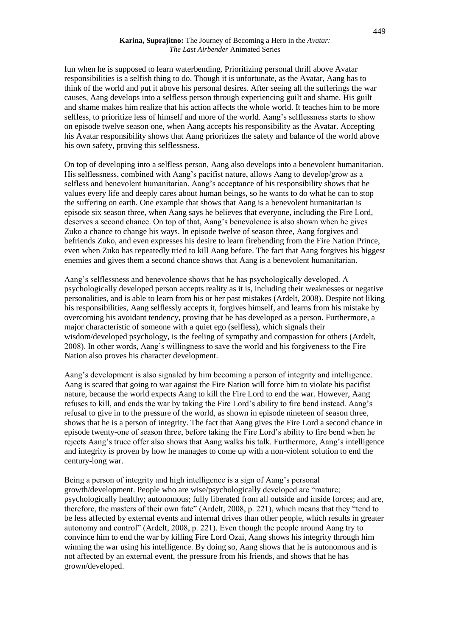#### **Karina, Suprajitno:** The Journey of Becoming a Hero in the *Avatar: The Last Airbender* Animated Series

fun when he is supposed to learn waterbending. Prioritizing personal thrill above Avatar responsibilities is a selfish thing to do. Though it is unfortunate, as the Avatar, Aang has to think of the world and put it above his personal desires. After seeing all the sufferings the war causes, Aang develops into a selfless person through experiencing guilt and shame. His guilt and shame makes him realize that his action affects the whole world. It teaches him to be more selfless, to prioritize less of himself and more of the world. Aang's selflessness starts to show on episode twelve season one, when Aang accepts his responsibility as the Avatar. Accepting his Avatar responsibility shows that Aang prioritizes the safety and balance of the world above his own safety, proving this selflessness.

On top of developing into a selfless person, Aang also develops into a benevolent humanitarian. His selflessness, combined with Aang's pacifist nature, allows Aang to develop/grow as a selfless and benevolent humanitarian. Aang's acceptance of his responsibility shows that he values every life and deeply cares about human beings, so he wants to do what he can to stop the suffering on earth. One example that shows that Aang is a benevolent humanitarian is episode six season three, when Aang says he believes that everyone, including the Fire Lord, deserves a second chance. On top of that, Aang's benevolence is also shown when he gives Zuko a chance to change his ways. In episode twelve of season three, Aang forgives and befriends Zuko, and even expresses his desire to learn firebending from the Fire Nation Prince, even when Zuko has repeatedly tried to kill Aang before. The fact that Aang forgives his biggest enemies and gives them a second chance shows that Aang is a benevolent humanitarian.

Aang's selflessness and benevolence shows that he has psychologically developed. A psychologically developed person accepts reality as it is, including their weaknesses or negative personalities, and is able to learn from his or her past mistakes (Ardelt, 2008). Despite not liking his responsibilities, Aang selflessly accepts it, forgives himself, and learns from his mistake by overcoming his avoidant tendency, proving that he has developed as a person. Furthermore, a major characteristic of someone with a quiet ego (selfless), which signals their wisdom/developed psychology, is the feeling of sympathy and compassion for others (Ardelt, 2008). In other words, Aang's willingness to save the world and his forgiveness to the Fire Nation also proves his character development.

Aang's development is also signaled by him becoming a person of integrity and intelligence. Aang is scared that going to war against the Fire Nation will force him to violate his pacifist nature, because the world expects Aang to kill the Fire Lord to end the war. However, Aang refuses to kill, and ends the war by taking the Fire Lord's ability to fire bend instead. Aang's refusal to give in to the pressure of the world, as shown in episode nineteen of season three, shows that he is a person of integrity. The fact that Aang gives the Fire Lord a second chance in episode twenty-one of season three, before taking the Fire Lord's ability to fire bend when he rejects Aang's truce offer also shows that Aang walks his talk. Furthermore, Aang's intelligence and integrity is proven by how he manages to come up with a non-violent solution to end the century-long war.

Being a person of integrity and high intelligence is a sign of Aang's personal growth/development. People who are wise/psychologically developed are "mature; psychologically healthy; autonomous; fully liberated from all outside and inside forces; and are, therefore, the masters of their own fate" (Ardelt, 2008, p. 221), which means that they "tend to be less affected by external events and internal drives than other people, which results in greater autonomy and control" (Ardelt, 2008, p. 221). Even though the people around Aang try to convince him to end the war by killing Fire Lord Ozai, Aang shows his integrity through him winning the war using his intelligence. By doing so, Aang shows that he is autonomous and is not affected by an external event, the pressure from his friends, and shows that he has grown/developed.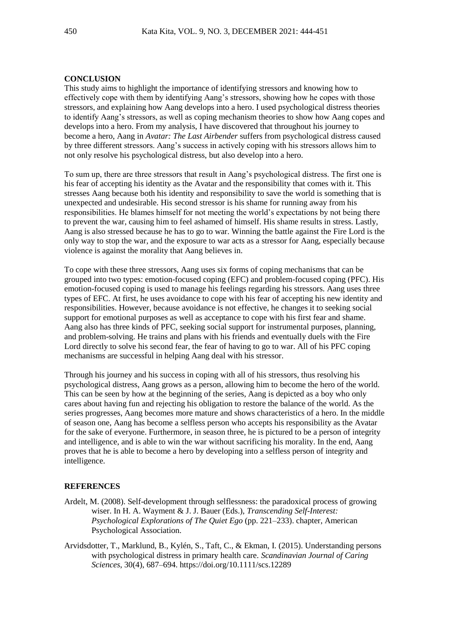# **CONCLUSION**

This study aims to highlight the importance of identifying stressors and knowing how to effectively cope with them by identifying Aang's stressors, showing how he copes with those stressors, and explaining how Aang develops into a hero. I used psychological distress theories to identify Aang's stressors, as well as coping mechanism theories to show how Aang copes and develops into a hero. From my analysis, I have discovered that throughout his journey to become a hero, Aang in *Avatar: The Last Airbender* suffers from psychological distress caused by three different stressors. Aang's success in actively coping with his stressors allows him to not only resolve his psychological distress, but also develop into a hero.

To sum up, there are three stressors that result in Aang's psychological distress. The first one is his fear of accepting his identity as the Avatar and the responsibility that comes with it. This stresses Aang because both his identity and responsibility to save the world is something that is unexpected and undesirable. His second stressor is his shame for running away from his responsibilities. He blames himself for not meeting the world's expectations by not being there to prevent the war, causing him to feel ashamed of himself. His shame results in stress. Lastly, Aang is also stressed because he has to go to war. Winning the battle against the Fire Lord is the only way to stop the war, and the exposure to war acts as a stressor for Aang, especially because violence is against the morality that Aang believes in.

To cope with these three stressors, Aang uses six forms of coping mechanisms that can be grouped into two types: emotion-focused coping (EFC) and problem-focused coping (PFC). His emotion-focused coping is used to manage his feelings regarding his stressors. Aang uses three types of EFC. At first, he uses avoidance to cope with his fear of accepting his new identity and responsibilities. However, because avoidance is not effective, he changes it to seeking social support for emotional purposes as well as acceptance to cope with his first fear and shame. Aang also has three kinds of PFC, seeking social support for instrumental purposes, planning, and problem-solving. He trains and plans with his friends and eventually duels with the Fire Lord directly to solve his second fear, the fear of having to go to war. All of his PFC coping mechanisms are successful in helping Aang deal with his stressor.

Through his journey and his success in coping with all of his stressors, thus resolving his psychological distress, Aang grows as a person, allowing him to become the hero of the world. This can be seen by how at the beginning of the series, Aang is depicted as a boy who only cares about having fun and rejecting his obligation to restore the balance of the world. As the series progresses, Aang becomes more mature and shows characteristics of a hero. In the middle of season one, Aang has become a selfless person who accepts his responsibility as the Avatar for the sake of everyone. Furthermore, in season three, he is pictured to be a person of integrity and intelligence, and is able to win the war without sacrificing his morality. In the end, Aang proves that he is able to become a hero by developing into a selfless person of integrity and intelligence.

## **REFERENCES**

- Ardelt, M. (2008). Self-development through selflessness: the paradoxical process of growing wiser. In H. A. Wayment & J. J. Bauer (Eds.), *Transcending Self-Interest: Psychological Explorations of The Quiet Ego* (pp. 221–233). chapter, American Psychological Association.
- Arvidsdotter, T., Marklund, B., Kylén, S., Taft, C., & Ekman, I. (2015). Understanding persons with psychological distress in primary health care. *Scandinavian Journal of Caring Sciences*, 30(4), 687–694. https://doi.org/10.1111/scs.12289